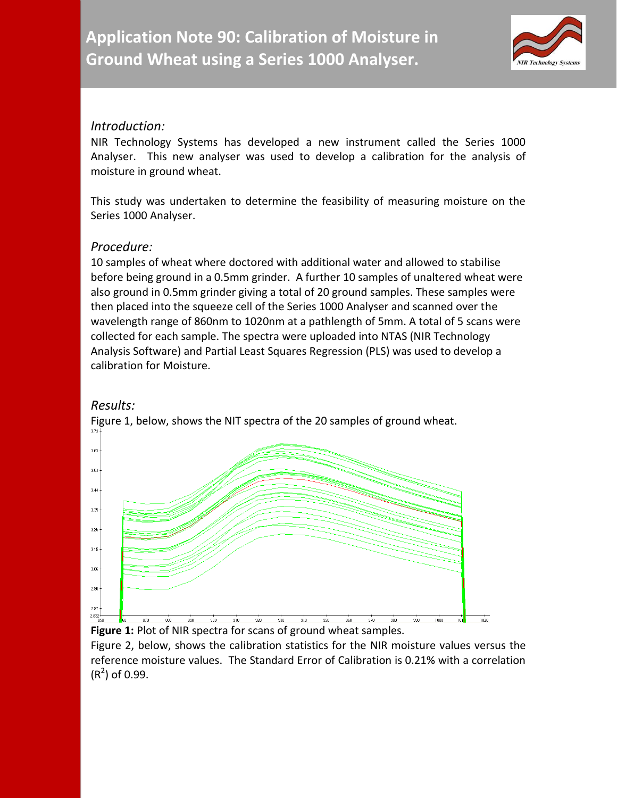

## *Introduction:*

NIR Technology Systems has developed a new instrument called the Series 1000 Analyser. This new analyser was used to develop a calibration for the analysis of moisture in ground wheat.

This study was undertaken to determine the feasibility of measuring moisture on the Series 1000 Analyser.

## *Procedure:*

10 samples of wheat where doctored with additional water and allowed to stabilise before being ground in a 0.5mm grinder. A further 10 samples of unaltered wheat were also ground in 0.5mm grinder giving a total of 20 ground samples. These samples were then placed into the squeeze cell of the Series 1000 Analyser and scanned over the wavelength range of 860nm to 1020nm at a pathlength of 5mm. A total of 5 scans were collected for each sample. The spectra were uploaded into NTAS (NIR Technology Analysis Software) and Partial Least Squares Regression (PLS) was used to develop a calibration for Moisture.

## *Results:*



Figure 1, below, shows the NIT spectra of the 20 samples of ground wheat.

**Figure 1:** Plot of NIR spectra for scans of ground wheat samples.

Figure 2, below, shows the calibration statistics for the NIR moisture values versus the reference moisture values. The Standard Error of Calibration is 0.21% with a correlation  $(R<sup>2</sup>)$  of 0.99.